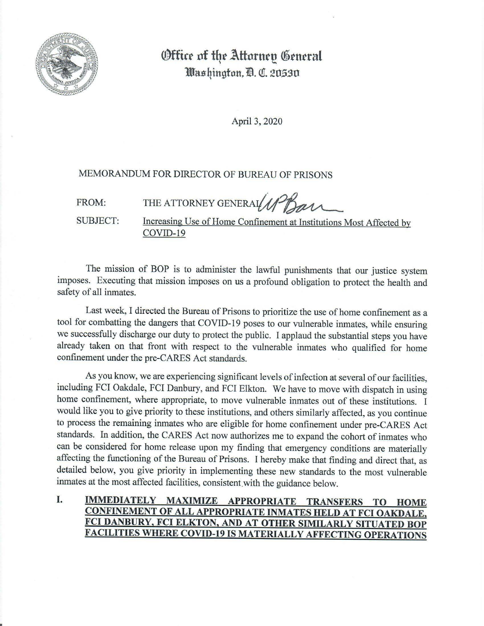

## **Office of the Attornep General llllns~ingfon,1B. QI. 20.5-30**

April 3, 2020

## MEMORANDUM FOR DIRECTOR OF BUREAU OF PRISONS

FROM: THE ATTORNEY GENERAL  $\mathcal{UP}_{\mathcal{B}}$ 

SUBJECT: Increasing Use of Home Confinement at Institutions Most Affected by COVID-19

The mission of BOP is to administer the lawful punishments that our justice system imposes. Executing that mission imposes on us a profound obligation to protect the health and safety of all inmates.

Last week, I directed the Bureau of Prisons to prioritize the use of home confinement as a tool for combatting the dangers that COVID-19 poses to our vulnerable inmates, while ensuring we successfully discharge our duty to protect the public. I applaud the substantial steps you have already taken on that front with respect to the vulnerable inmates who qualified for home confinement under the pre-CARES Act standards.

As you know, we are experiencing significant levels of infection at several of our facilities, including FCI Oakdale, FCI Danbury, and FCI Elkton. We have to move with dispatch in using home confinement, where appropriate, to move vulnerable inmates out of these institutions. I would like you to give priority to these institutions, and others similarly affected, as you continue to process the remaining inmates who are eligible for home confinement under pre-CARES Act standards. In addition, the CARES Act now authorizes me to expand the cohort of inmates who can be considered for home release upon my finding that emergency conditions are materially affecting the functioning of the Bureau of Prisons. I hereby make that finding and direct that, as detailed below, you give priority in implementing these new standards to the most vulnerable inmates at the most affected facilities, consistent with the guidance below.

I. **IMMEDIATELY MAXIMIZE APPROPRIATE TRANSFERS TO HOME CONFINEMENT OF ALL APPROPRIATE INMATES HELD AT FCI OAKDALE, FCI DANBURY, FCI ELKTON, AND AT OTHER SIMILARLY SITUATED BOP FACILITIES WHERE COVID-19 IS MATERIALLY AFFECTING OPERATIONS**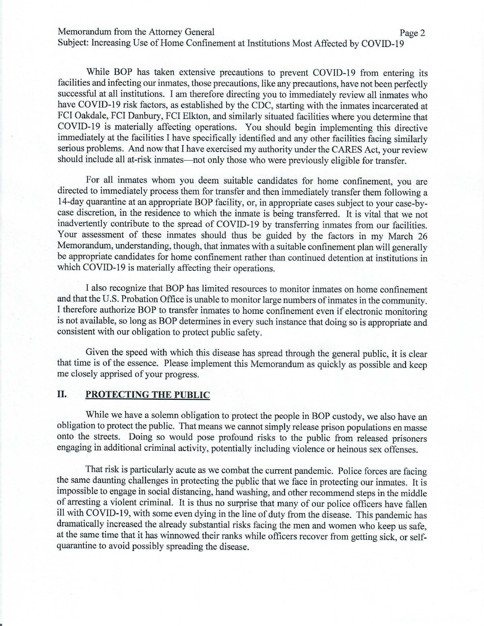Memorandum from the Attorney General Page 2

Subject: Increasing Use of Home Confinement at Institutions Most Affected by COVID-19

While BOP has taken extensive precautions to prevent COVID-19 from entering its facilities and infecting our inmates, those precautions, like any precautions, have not been perfectly successful at all institutions. I am therefore directing you to immediately review all inmates who have COVID-19 risk factors, as established by the CDC, starting with the inmates incarcerated at FCI Oakdale, FCI Danbury, FCI Elkton, and similarly situated facilities where you determine that COVID-19 is materially affecting operations. You should begin implementing this directive immediately at the facilities I have specifically identified and any other facilities facing similarly serious problems. And now that I have exercised my authority under the CARES Act, your review should include all at-risk inmates- not only those who were previously eligible for transfer.

For all inmates whom you deem suitable candidates for home confinement, you are directed to immediately process them for transfer and then immediately transfer them following a 14-day quarantine at an appropriate BOP facility, or, in appropriate cases subject to your case-bycase discretion, in the residence to which the inmate is being transferred. It is vital that we not inadvertently contribute to the spread of COVID-19 by transferring inmates from our facilities. Your assessment of these inmates should thus be guided by the factors in my March 26 Memorandum, understanding, though, that inmates with a suitable confinement plan will generally be appropriate candidates for home confinement rather than continued detention at institutions in which COVID-19 is materially affecting their operations.

I also recognize that BOP has limited resources to monitor inmates on home confinement and that the U.S. Probation Office is unable to monitor large numbers of inmates in the community. I therefore authorize BOP to transfer inmates to home confinement even if electronic monitoring is not available, so long as BOP determines in every such instance that doing so is appropriate and consistent with our obligation to protect public safety.

Given the speed with which this disease has spread through the general public, it is clear that time is of the essence. Please implement this Memorandum as quickly as possible and keep me closely apprised of your progress.

## II. **PROTECTING THE PUBLIC**

While we have a solemn obligation to protect the people in BOP custody, we also have an obligation to protect the public. That means we cannot simply release prison populations en masse onto the streets. Doing so would pose profound risks to the public from released prisoners engaging in additional criminal activity, potentially including violence or heinous sex offenses.

That risk is particularly acute as we combat the current pandemic. Police forces are facing the same daunting challenges in protecting the public that we face in protecting our inmates. It is impossible to engage in social distancing, hand washing, and other recommend steps in the middle of arresting a violent criminal. It is thus no surprise that many of our police officers have fallen ill with  $C\overline{O}$ VID-19, with some even dying in the line of duty from the disease. This pandemic has dramatically increased the already substantial risks facing the men and women who keep us safe, at the same time that it has winnowed their ranks while officers recover from getting sick, or selfquarantine to avoid possibly spreading the disease.